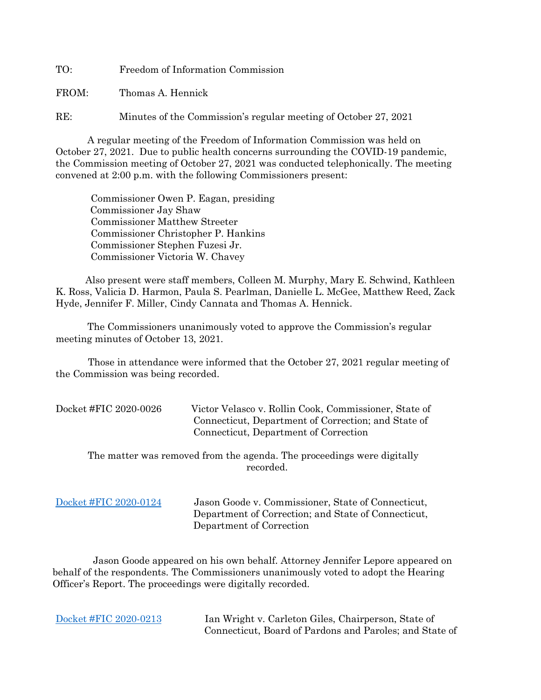TO: Freedom of Information Commission

FROM: Thomas A. Hennick

RE: Minutes of the Commission's regular meeting of October 27, 2021

A regular meeting of the Freedom of Information Commission was held on October 27, 2021. Due to public health concerns surrounding the COVID-19 pandemic, the Commission meeting of October 27, 2021 was conducted telephonically. The meeting convened at 2:00 p.m. with the following Commissioners present:

 Commissioner Owen P. Eagan, presiding Commissioner Jay Shaw Commissioner Matthew Streeter Commissioner Christopher P. Hankins Commissioner Stephen Fuzesi Jr. Commissioner Victoria W. Chavey

 Also present were staff members, Colleen M. Murphy, Mary E. Schwind, Kathleen K. Ross, Valicia D. Harmon, Paula S. Pearlman, Danielle L. McGee, Matthew Reed, Zack Hyde, Jennifer F. Miller, Cindy Cannata and Thomas A. Hennick.

The Commissioners unanimously voted to approve the Commission's regular meeting minutes of October 13, 2021.

 Those in attendance were informed that the October 27, 2021 regular meeting of the Commission was being recorded.

| Docket #FIC 2020-0026 | Victor Velasco v. Rollin Cook, Commissioner, State of<br>Connecticut, Department of Correction; and State of<br>Connecticut, Department of Correction |
|-----------------------|-------------------------------------------------------------------------------------------------------------------------------------------------------|
|                       | The matter was removed from the agenda. The proceedings were digitally<br>recorded.                                                                   |

[Docket #FIC 2020-0124](https://portal.ct.gov/-/media/FOI/FinalDecisions/2021/Oct27/2020-0124.pdf) Jason Goode v. Commissioner, State of Connecticut, Department of Correction; and State of Connecticut, Department of Correction

 Jason Goode appeared on his own behalf. Attorney Jennifer Lepore appeared on behalf of the respondents. The Commissioners unanimously voted to adopt the Hearing Officer's Report. The proceedings were digitally recorded.

[Docket #FIC 2020-0213](https://portal.ct.gov/-/media/FOI/FinalDecisions/2021/Oct27/2020-0213.pdf) Ian Wright v. Carleton Giles, Chairperson, State of Connecticut, Board of Pardons and Paroles; and State of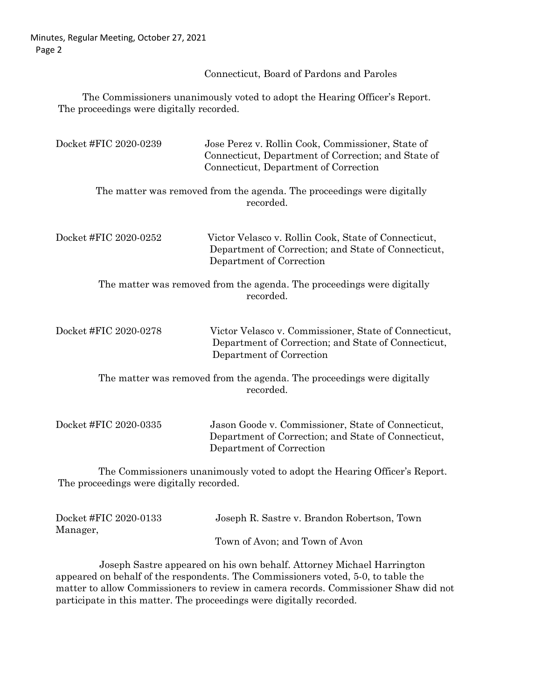## Connecticut, Board of Pardons and Paroles

 The Commissioners unanimously voted to adopt the Hearing Officer's Report. The proceedings were digitally recorded.

| Docket #FIC 2020-0239 | Jose Perez v. Rollin Cook, Commissioner, State of<br>Connecticut, Department of Correction; and State of<br>Connecticut, Department of Correction |
|-----------------------|---------------------------------------------------------------------------------------------------------------------------------------------------|
|                       | The matter was removed from the agenda. The proceedings were digitally<br>recorded.                                                               |
| Docket #FIC 2020-0252 | Victor Velasco v. Rollin Cook, State of Connecticut,<br>Department of Correction; and State of Connecticut,<br>Department of Correction           |
|                       | The matter was removed from the agenda. The proceedings were digitally<br>recorded.                                                               |
| Docket #FIC 2020-0278 | Victor Velasco v. Commissioner, State of Connecticut,<br>Department of Correction; and State of Connecticut,<br>Department of Correction          |
|                       | The matter was removed from the agenda. The proceedings were digitally<br>recorded.                                                               |
| Docket #FIC 2020-0335 | Jason Goode v. Commissioner, State of Connecticut,<br>Department of Correction; and State of Connecticut,<br>Department of Correction             |
|                       | The Commissioners unanimously voted to adopt the Hearing Officer's Report.                                                                        |

The proceedings were digitally recorded.

| Docket #FIC 2020-0133 | Joseph R. Sastre v. Brandon Robertson, Town |
|-----------------------|---------------------------------------------|
| Manager,              |                                             |
|                       | Town of Avon; and Town of Avon              |

Joseph Sastre appeared on his own behalf. Attorney Michael Harrington appeared on behalf of the respondents. The Commissioners voted, 5-0, to table the matter to allow Commissioners to review in camera records. Commissioner Shaw did not participate in this matter. The proceedings were digitally recorded.